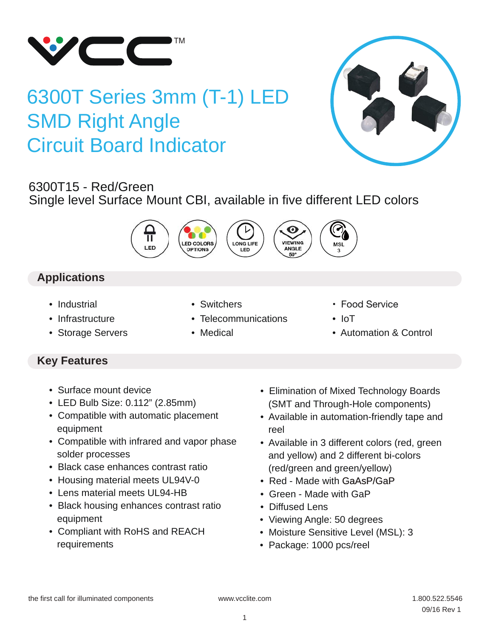

# 6300T Series 3mm (T-1) LED SMD Right Angle Circuit Board Indicator



# 6300T15 - Red/Green

Single level Surface Mount CBI, available in five different LED colors



# **Applications**

- Industrial
- Infrastructure
- Storage Servers
- Switchers

• Medical

- Telecommunications
- Food Service
- IoT
- Automation & Control

# **Key Features**

- Surface mount device
- LED Bulb Size: 0.112" (2.85mm)
- Compatible with automatic placement equipment
- Compatible with infrared and vapor phase solder processes
- Black case enhances contrast ratio
- Housing material meets UL94V-0
- Lens material meets UL94-HB
- Black housing enhances contrast ratio equipment
- Compliant with RoHS and REACH requirements
- Elimination of Mixed Technology Boards (SMT and Through-Hole components)
- Available in automation-friendly tape and reel
- Available in 3 different colors (red, green and yellow) and 2 different bi-colors (red/green and green/yellow)
- Red Made with GaAsP/GaP
- Green Made with GaP
- Diffused Lens
- Viewing Angle: 50 degrees
- Moisture Sensitive Level (MSL): 3
- Package: 1000 pcs/reel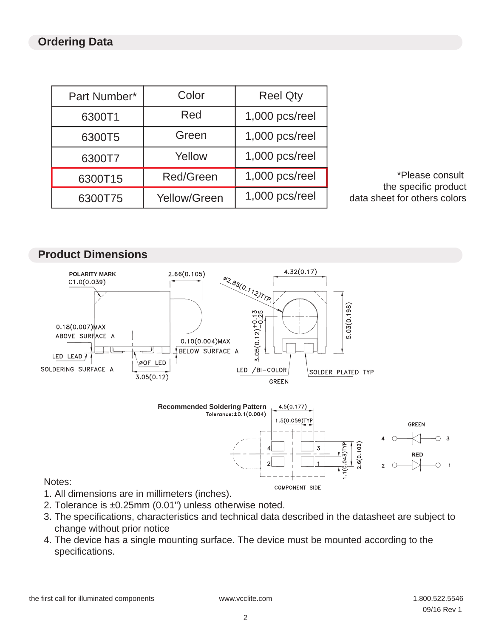### **Ordering Data**

| Part Number* | Color               | <b>Reel Qty</b> |
|--------------|---------------------|-----------------|
| 6300T1       | Red                 | 1,000 pcs/reel  |
| 6300T5       | Green               | 1,000 pcs/reel  |
| 6300T7       | Yellow              | 1,000 pcs/reel  |
| 6300T15      | <b>Red/Green</b>    | 1,000 pcs/reel  |
| 6300T75      | <b>Yellow/Green</b> | 1,000 pcs/reel  |

 \*Please consult the specific product data sheet for others colors



### Notes:

- 1. All dimensions are in millimeters (inches).
- 2. Tolerance is ±0.25mm (0.01") unless otherwise noted.
- 3. The specifications, characteristics and technical data described in the datasheet are subject to change without prior notice

COMPONENT SIDE

4. The device has a single mounting surface. The device must be mounted according to the specifications.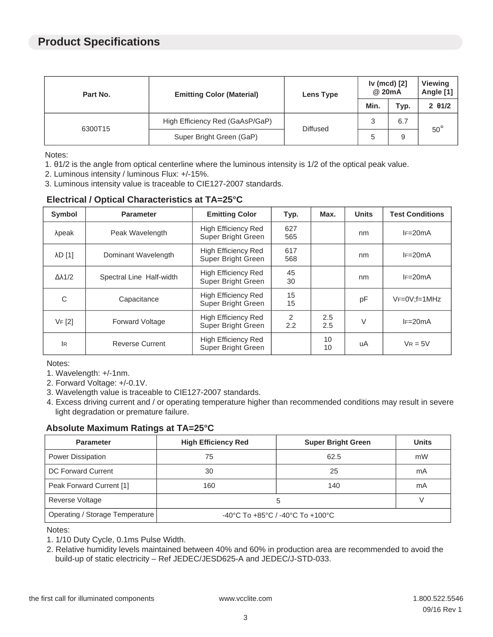### **Product Specifications**

| Part No. | <b>Emitting Color (Material)</b> | Lens Type       | Iv (mcd) [2]<br>@ 20mA |      | <b>Viewing</b><br>Angle [1] |
|----------|----------------------------------|-----------------|------------------------|------|-----------------------------|
|          |                                  |                 | Min.                   | Typ. | $2 \theta 1/2$              |
| 6300T15  | High Efficiency Red (GaAsP/GaP)  | <b>Diffused</b> | 3                      | 6.7  | $50^{\circ}$                |
|          | Super Bright Green (GaP)         |                 | <sub>5</sub>           | 9    |                             |

Notes:

- 1. θ1/2 is the angle from optical centerline where the luminous intensity is 1/2 of the optical peak value.
- 2. Luminous intensity / luminous Flux: +/-15%.
- 3. Luminous intensity value is traceable to CIE127-2007 standards.

#### **Electrical / Optical Characteristics at TA=25°C**

| <b>Symbol</b>       | <b>Parameter</b>         | <b>Emitting Color</b>                            | Typ.               | Max.       | <b>Units</b> | <b>Test Conditions</b> |
|---------------------|--------------------------|--------------------------------------------------|--------------------|------------|--------------|------------------------|
| λpeak               | Peak Wavelength          | <b>High Efficiency Red</b><br>Super Bright Green | 627<br>565         |            | nm           | $IF = 20mA$            |
| λD [1]              | Dominant Wavelength      | <b>High Efficiency Red</b><br>Super Bright Green | 617<br>568         |            | nm           | $IF = 20mA$            |
| $\Delta\lambda$ 1/2 | Spectral Line Half-width | <b>High Efficiency Red</b><br>Super Bright Green | 45<br>30           |            | nm           | $IF = 20mA$            |
| C                   | Capacitance              | <b>High Efficiency Red</b><br>Super Bright Green | 15<br>15           |            | рF           | $VF=0V; f=1MHz$        |
| VF[2]               | Forward Voltage          | High Efficiency Red<br>Super Bright Green        | 2<br>$2.2^{\circ}$ | 2.5<br>2.5 | V            | $IF = 20mA$            |
| <b>IR</b>           | Reverse Current          | High Efficiency Red<br>Super Bright Green        |                    | 10<br>10   | uA           | $V_R = 5V$             |

Notes:

1. Wavelength: +/-1nm.

2. Forward Voltage: +/-0.1V.

- 3. Wavelength value is traceable to CIE127-2007 standards.
- 4. Excess driving current and / or operating temperature higher than recommended conditions may result in severe light degradation or premature failure.

### **Absolute Maximum Ratings at TA=25°C**

| <b>Parameter</b>                | <b>High Efficiency Red</b>                                               | <b>Super Bright Green</b> | <b>Units</b> |
|---------------------------------|--------------------------------------------------------------------------|---------------------------|--------------|
| Power Dissipation               | 75                                                                       | 62.5                      | mW           |
| DC Forward Current              | 30                                                                       | 25                        | mA           |
| Peak Forward Current [1]        | 160                                                                      | 140                       | mA           |
| Reverse Voltage                 | 5                                                                        |                           |              |
| Operating / Storage Temperature | $-40^{\circ}$ C To $+85^{\circ}$ C / $-40^{\circ}$ C To $+100^{\circ}$ C |                           |              |

Notes:

1. 1/10 Duty Cycle, 0.1ms Pulse Width.

2. Relative humidity levels maintained between 40% and 60% in production area are recommended to avoid the build-up of static electricity – Ref JEDEC/JESD625-A and JEDEC/J-STD-033.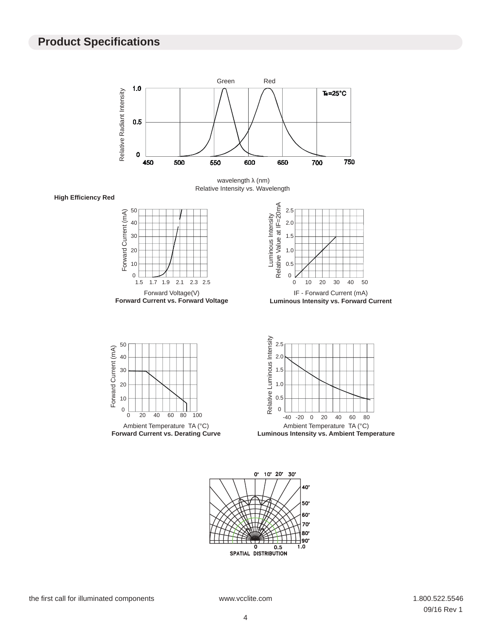### **Product Specifications**



wavelength λ (nm) Relative Intensity vs. Wavelength

**High Efficiency Red**



**Forward Current vs. Forward Voltage**



**Luminous Intensity vs. Forward Current**





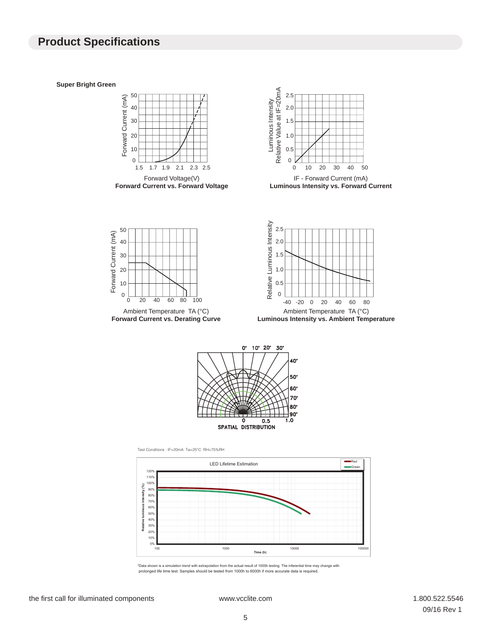### **Product Specifications**

**Super Bright Green**





**Luminous Intensity vs. Forward Current**



Ambient Temperature TA (°C) **Forward Current vs. Derating Curve**



**Luminous Intensity vs. Ambient Temperature**



Test Conditions : IF=20mA Ta=25°C RH<75%RH



\*Data shown is a simulation trend with extrapolation from the actual result of 1000h testing. The inferential time may change with prolonged life time test. Samples should be tested from 1000h to 6000h if more accurate data is required.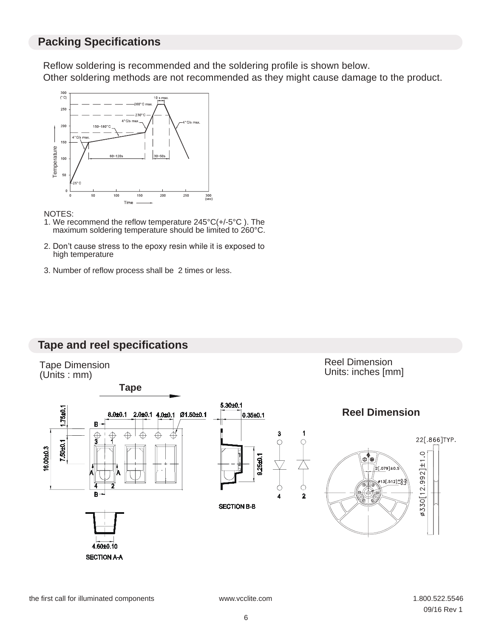### **Packing Specifications**

Reflow soldering is recommended and the soldering profile is shown below. Other soldering methods are not recommended as they might cause damage to the product.



NOTES:

- 1. We recommend the reflow temperature 245°C(+/-5°C ). The maximum soldering temperature should be limited to 260°C.
- 2. Don't cause stress to the epoxy resin while it is exposed to high temperature
- 



### **Tape and reel specifications**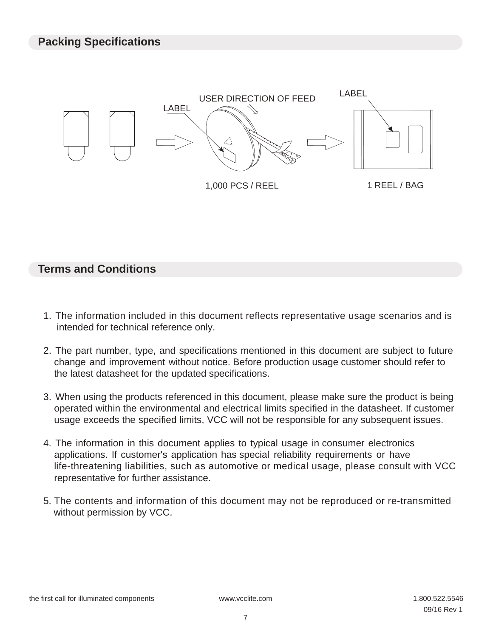

## **Terms and Conditions**

- 1. The information included in this document reflects representative usage scenarios and is intended for technical reference only.
- 2. The part number, type, and specifications mentioned in this document are subject to future change and improvement without notice. Before production usage customer should refer to the latest datasheet for the updated specifications.
- 3. When using the products referenced in this document, please make sure the product is being operated within the environmental and electrical limits specified in the datasheet. If customer usage exceeds the specified limits, VCC will not be responsible for any subsequent issues.
- 4. The information in this document applies to typical usage in consumer electronics applications. If customer's application has special reliability requirements or have life-threatening liabilities, such as automotive or medical usage, please consult with VCC representative for further assistance.
- 5. The contents and information of this document may not be reproduced or re-transmitted without permission by VCC.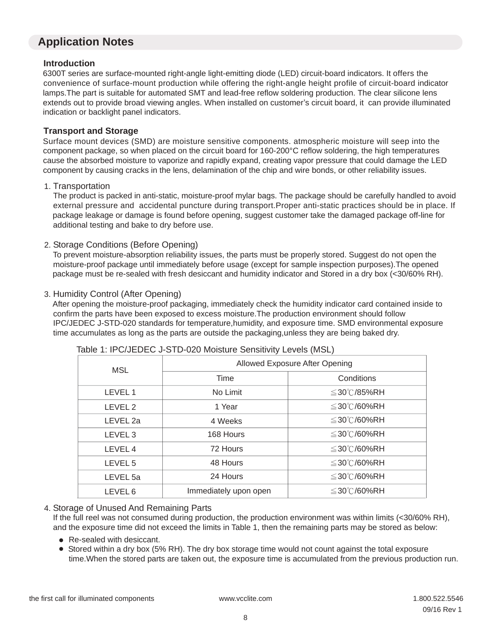### **Application Notes**

#### **Introduction**

 6300T series are surface-mounted right-angle light-emitting diode (LED) circuit-board indicators. It offers the convenience of surface-mount production while offering the right-angle height profile of circuit-board indicator lamps.The part is suitable for automated SMT and lead-free reflow soldering production. The clear silicone lens extends out to provide broad viewing angles. When installed on customer's circuit board, it can provide illuminated indication or backlight panel indicators.

#### **Transport and Storage**

 Surface mount devices (SMD) are moisture sensitive components. atmospheric moisture will seep into the component package, so when placed on the circuit board for 160-200°C reflow soldering, the high temperatures cause the absorbed moisture to vaporize and rapidly expand, creating vapor pressure that could damage the LED component by causing cracks in the lens, delamination of the chip and wire bonds, or other reliability issues.

#### 1. Transportation

 The product is packed in anti-static, moisture-proof mylar bags. The package should be carefully handled to avoid external pressure and accidental puncture during transport.Proper anti-static practices should be in place. If package leakage or damage is found before opening, suggest customer take the damaged package off-line for additional testing and bake to dry before use.

#### 2. Storage Conditions (Before Opening)

 To prevent moisture-absorption reliability issues, the parts must be properly stored. Suggest do not open the moisture-proof package until immediately before usage (except for sample inspection purposes).The opened package must be re-sealed with fresh desiccant and humidity indicator and Stored in a dry box (<30/60% RH).

#### 3. Humidity Control (After Opening)

 After opening the moisture-proof packaging, immediately check the humidity indicator card contained inside to confirm the parts have been exposed to excess moisture.The production environment should follow IPC/JEDEC J-STD-020 standards for temperature,humidity, and exposure time. SMD environmental exposure time accumulates as long as the parts are outside the packaging,unless they are being baked dry.

| <b>MSL</b>         | Allowed Exposure After Opening |                  |  |  |
|--------------------|--------------------------------|------------------|--|--|
|                    | Time                           | Conditions       |  |  |
| LEVEL 1            | No Limit                       | $\leq$ 30℃/85%RH |  |  |
| LEVEL <sub>2</sub> | 1 Year                         | $\leq$ 30℃/60%RH |  |  |
| LEVEL 2a           | 4 Weeks                        | $\leq$ 30℃/60%RH |  |  |
| LEVEL <sub>3</sub> | 168 Hours                      | ≦30℃/60%RH       |  |  |
| LEVEL 4            | 72 Hours                       | $\leq$ 30℃/60%RH |  |  |
| LEVEL <sub>5</sub> | 48 Hours                       | ≦30℃/60%RH       |  |  |
| LEVEL 5a           | 24 Hours                       | $\leq$ 30℃/60%RH |  |  |
| LEVEL 6            | Immediately upon open          | ≦30℃/60%RH       |  |  |

#### Table 1: IPC/JEDEC J-STD-020 Moisture Sensitivity Levels (MSL)

#### 4. Storage of Unused And Remaining Parts

 If the full reel was not consumed during production, the production environment was within limits (<30/60% RH), and the exposure time did not exceed the limits in Table 1, then the remaining parts may be stored as below:

- Re-sealed with desiccant.
- Stored within a dry box (5% RH). The dry box storage time would not count against the total exposure time.When the stored parts are taken out, the exposure time is accumulated from the previous production run.